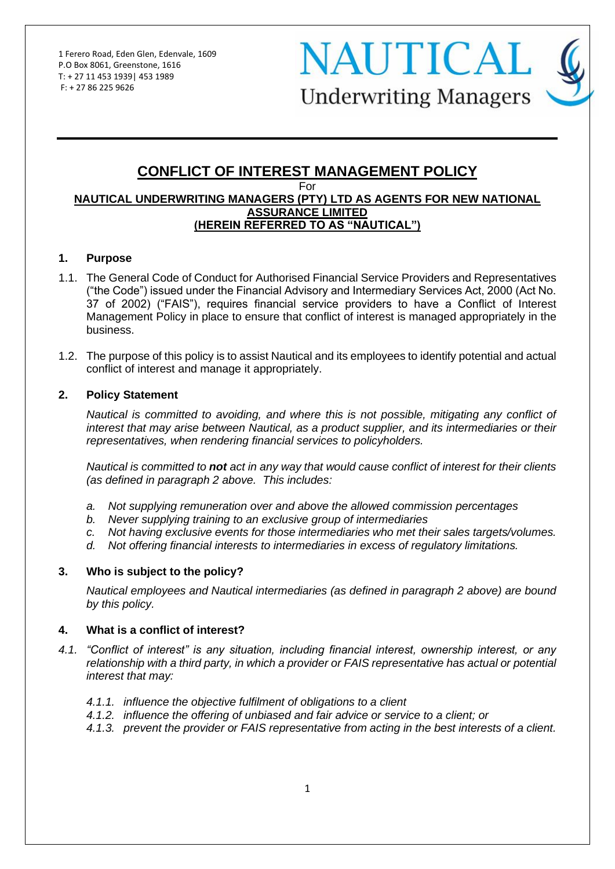**NAUTICAL Underwriting Managers** 

#### **CONFLICT OF INTEREST MANAGEMENT POLICY** For **NAUTICAL UNDERWRITING MANAGERS (PTY) LTD AS AGENTS FOR NEW NATIONAL ASSURANCE LIMITED (HEREIN REFERRED TO AS "NAUTICAL")**

#### **1. Purpose**

- 1.1. The General Code of Conduct for Authorised Financial Service Providers and Representatives ("the Code") issued under the Financial Advisory and Intermediary Services Act, 2000 (Act No. 37 of 2002) ("FAIS"), requires financial service providers to have a Conflict of Interest Management Policy in place to ensure that conflict of interest is managed appropriately in the business.
- 1.2. The purpose of this policy is to assist Nautical and its employees to identify potential and actual conflict of interest and manage it appropriately.

#### **2. Policy Statement**

*Nautical is committed to avoiding, and where this is not possible, mitigating any conflict of interest that may arise between Nautical, as a product supplier, and its intermediaries or their representatives, when rendering financial services to policyholders.*

*Nautical is committed to not act in any way that would cause conflict of interest for their clients (as defined in paragraph 2 above. This includes:*

- *a. Not supplying remuneration over and above the allowed commission percentages*
- *b. Never supplying training to an exclusive group of intermediaries*
- *c. Not having exclusive events for those intermediaries who met their sales targets/volumes.*
- *d. Not offering financial interests to intermediaries in excess of regulatory limitations.*

#### **3. Who is subject to the policy?**

*Nautical employees and Nautical intermediaries (as defined in paragraph 2 above) are bound by this policy.*

#### **4. What is a conflict of interest?**

- *4.1. "Conflict of interest" is any situation, including financial interest, ownership interest, or any relationship with a third party, in which a provider or FAIS representative has actual or potential interest that may:*
	- *4.1.1. influence the objective fulfilment of obligations to a client*
	- *4.1.2. influence the offering of unbiased and fair advice or service to a client; or*
	- *4.1.3. prevent the provider or FAIS representative from acting in the best interests of a client.*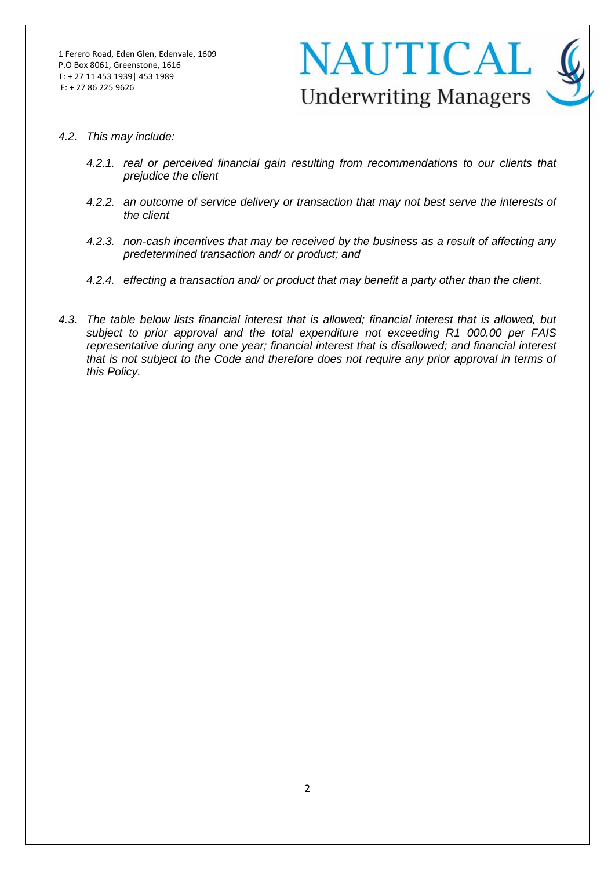

- *4.2. This may include:*
	- *4.2.1. real or perceived financial gain resulting from recommendations to our clients that prejudice the client*
	- *4.2.2. an outcome of service delivery or transaction that may not best serve the interests of the client*
	- *4.2.3. non-cash incentives that may be received by the business as a result of affecting any predetermined transaction and/ or product; and*
	- *4.2.4. effecting a transaction and/ or product that may benefit a party other than the client.*
- *4.3. The table below lists financial interest that is allowed; financial interest that is allowed, but subject to prior approval and the total expenditure not exceeding R1 000.00 per FAIS representative during any one year; financial interest that is disallowed; and financial interest that is not subject to the Code and therefore does not require any prior approval in terms of this Policy.*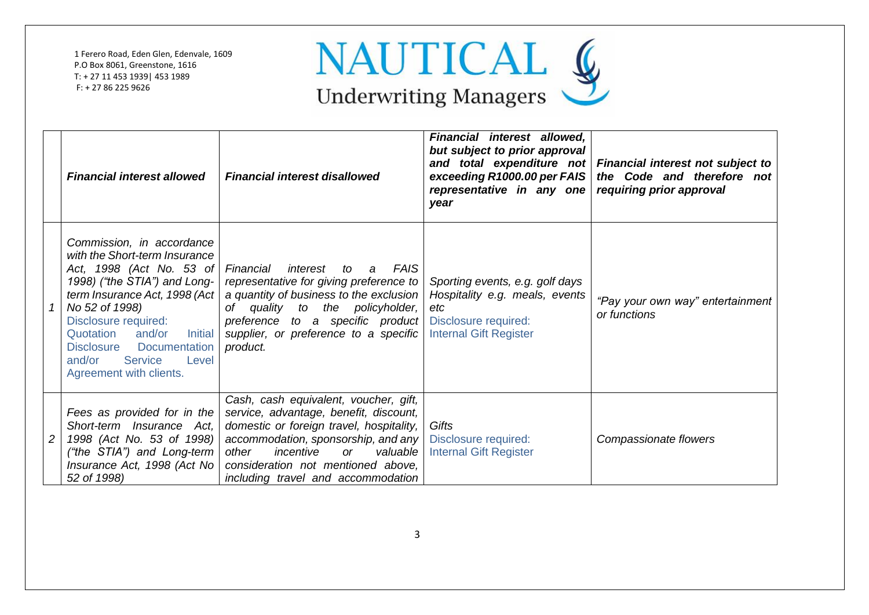

|                | <b>Financial interest allowed</b>                                                                                                                                                                                                                                                                                                                 | <b>Financial interest disallowed</b>                                                                                                                                                                                                                                                              | Financial interest allowed,<br>but subject to prior approval<br>exceeding R1000.00 per FAIS<br>representative in any one<br>year  | and total expenditure not Financial interest not subject to<br>the Code and therefore not<br>requiring prior approval |
|----------------|---------------------------------------------------------------------------------------------------------------------------------------------------------------------------------------------------------------------------------------------------------------------------------------------------------------------------------------------------|---------------------------------------------------------------------------------------------------------------------------------------------------------------------------------------------------------------------------------------------------------------------------------------------------|-----------------------------------------------------------------------------------------------------------------------------------|-----------------------------------------------------------------------------------------------------------------------|
|                | Commission, in accordance<br>with the Short-term Insurance<br>Act, 1998 (Act No. 53 of<br>1998) ("the STIA") and Long-<br>term Insurance Act, 1998 (Act)<br>No 52 of 1998)<br>Disclosure required:<br>and/or<br>Quotation<br><b>Initial</b><br><b>Disclosure</b><br><b>Documentation</b><br>and/or<br>Service<br>Level<br>Agreement with clients. | FAIS<br>Financial<br>interest<br>to a<br>representative for giving preference to<br>a quantity of business to the exclusion<br>of quality to the policyholder,<br>preference to a specific product<br>supplier, or preference to a specific<br>product.                                           | Sporting events, e.g. golf days<br>Hospitality e.g. meals, events<br>etc<br>Disclosure required:<br><b>Internal Gift Register</b> | "Pay your own way" entertainment<br>or functions                                                                      |
| $\overline{c}$ | Fees as provided for in the<br>Short-term Insurance Act,<br>1998 (Act No. 53 of 1998)<br>("the STIA") and Long-term<br>Insurance Act, 1998 (Act No<br>52 of 1998)                                                                                                                                                                                 | Cash, cash equivalent, voucher, gift,<br>service, advantage, benefit, discount,<br>domestic or foreign travel, hospitality,<br>accommodation, sponsorship, and any<br>incentive<br>other<br>valuable<br><sub>or</sub><br>consideration not mentioned above,<br>including travel and accommodation | Gifts<br>Disclosure required:<br><b>Internal Gift Register</b>                                                                    | Compassionate flowers                                                                                                 |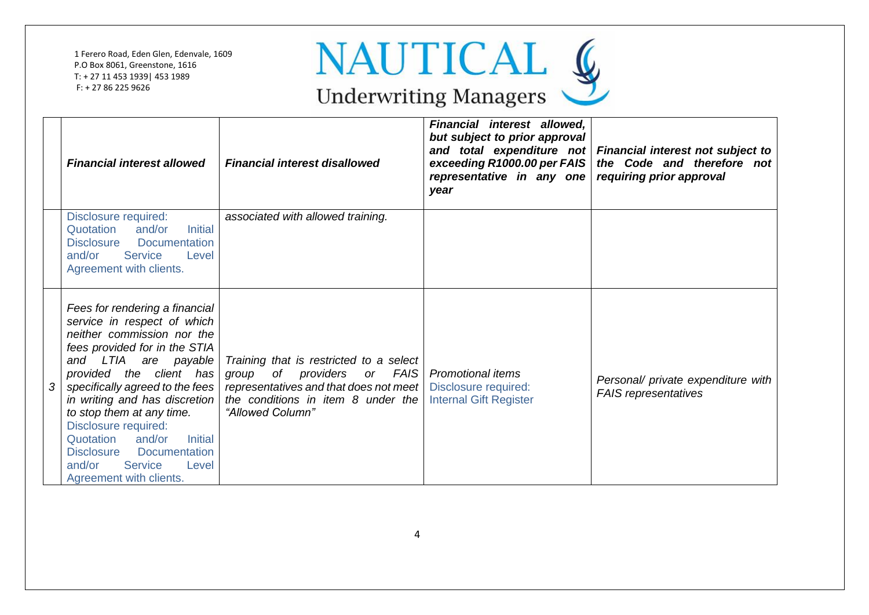

|   | <b>Financial interest allowed</b>                                                                                                                                                                                                                                                                                                                                                                                                                              | <b>Financial interest disallowed</b>                                                                                                                                               | Financial interest allowed,<br>but subject to prior approval<br>exceeding R1000.00 per FAIS<br>representative in any one<br>year | and total expenditure not Financial interest not subject to<br>the Code and therefore not<br>requiring prior approval |
|---|----------------------------------------------------------------------------------------------------------------------------------------------------------------------------------------------------------------------------------------------------------------------------------------------------------------------------------------------------------------------------------------------------------------------------------------------------------------|------------------------------------------------------------------------------------------------------------------------------------------------------------------------------------|----------------------------------------------------------------------------------------------------------------------------------|-----------------------------------------------------------------------------------------------------------------------|
|   | Disclosure required:<br>and/or<br><b>Initial</b><br>Quotation<br>Documentation<br><b>Disclosure</b><br>and/or<br><b>Service</b><br>Level<br>Agreement with clients.                                                                                                                                                                                                                                                                                            | associated with allowed training.                                                                                                                                                  |                                                                                                                                  |                                                                                                                       |
| 3 | Fees for rendering a financial<br>service in respect of which<br>neither commission nor the<br>fees provided for in the STIA<br>and LTIA are payable<br>provided the client has<br>specifically agreed to the fees<br>in writing and has discretion<br>to stop them at any time.<br>Disclosure required:<br>Quotation<br>and/or<br><b>Initial</b><br><b>Disclosure</b><br><b>Documentation</b><br>and/or<br><b>Service</b><br>Level<br>Agreement with clients. | Training that is restricted to a select<br>of providers<br>FAIS<br>group<br>or<br>representatives and that does not meet<br>the conditions in item 8 under the<br>"Allowed Column" | <b>Promotional items</b><br>Disclosure required:<br><b>Internal Gift Register</b>                                                | Personal/ private expenditure with<br><b>FAIS</b> representatives                                                     |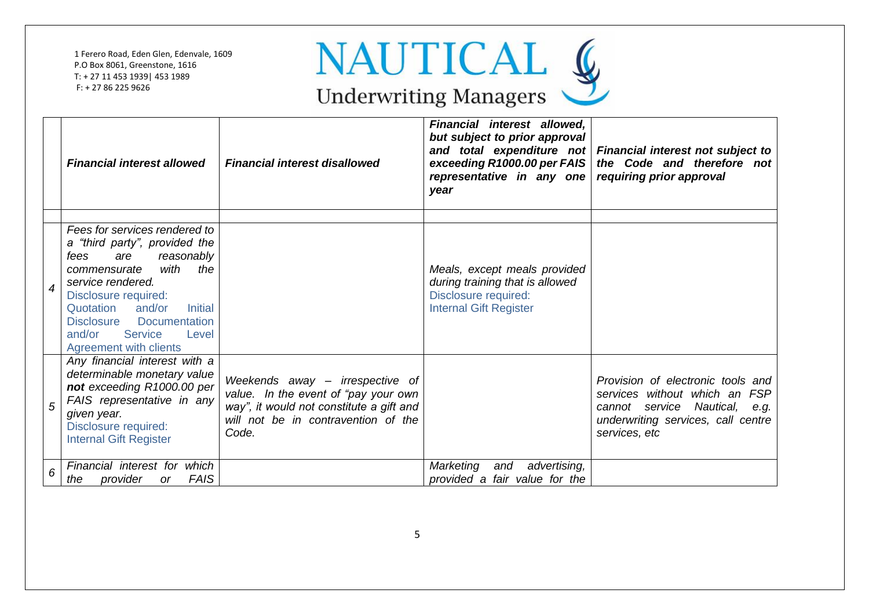

|                          | <b>Financial interest allowed</b>                                                                                                                                                                                                                                                                                         | <b>Financial interest disallowed</b>                                                                                                                                | Financial interest allowed,<br>but subject to prior approval<br>exceeding R1000.00 per FAIS<br>representative in any one   requiring prior approval<br>year | and total expenditure not Financial interest not subject to<br>the Code and therefore not                                                                  |
|--------------------------|---------------------------------------------------------------------------------------------------------------------------------------------------------------------------------------------------------------------------------------------------------------------------------------------------------------------------|---------------------------------------------------------------------------------------------------------------------------------------------------------------------|-------------------------------------------------------------------------------------------------------------------------------------------------------------|------------------------------------------------------------------------------------------------------------------------------------------------------------|
| $\overline{\mathcal{A}}$ | Fees for services rendered to<br>a "third party", provided the<br>are<br>reasonably<br>fees<br>with<br>the<br>commensurate<br>service rendered.<br>Disclosure required:<br>Quotation and/or<br><b>Initial</b><br><b>Disclosure</b><br><b>Documentation</b><br>and/or<br><b>Service</b><br>Level<br>Agreement with clients |                                                                                                                                                                     | Meals, except meals provided<br>during training that is allowed<br>Disclosure required:<br><b>Internal Gift Register</b>                                    |                                                                                                                                                            |
| 5                        | Any financial interest with a<br>determinable monetary value<br>not exceeding R1000.00 per<br>FAIS representative in any<br>given year.<br>Disclosure required:<br><b>Internal Gift Register</b>                                                                                                                          | Weekends away – irrespective of<br>value. In the event of "pay your own<br>way", it would not constitute a gift and<br>will not be in contravention of the<br>Code. |                                                                                                                                                             | Provision of electronic tools and<br>services without which an FSP<br>cannot service Nautical, e.g.<br>underwriting services, call centre<br>services, etc |
| 6                        | Financial interest for which<br><b>FAIS</b><br>provider<br>the<br><sub>or</sub>                                                                                                                                                                                                                                           |                                                                                                                                                                     | Marketing<br>advertising,<br>and<br>provided a fair value for the                                                                                           |                                                                                                                                                            |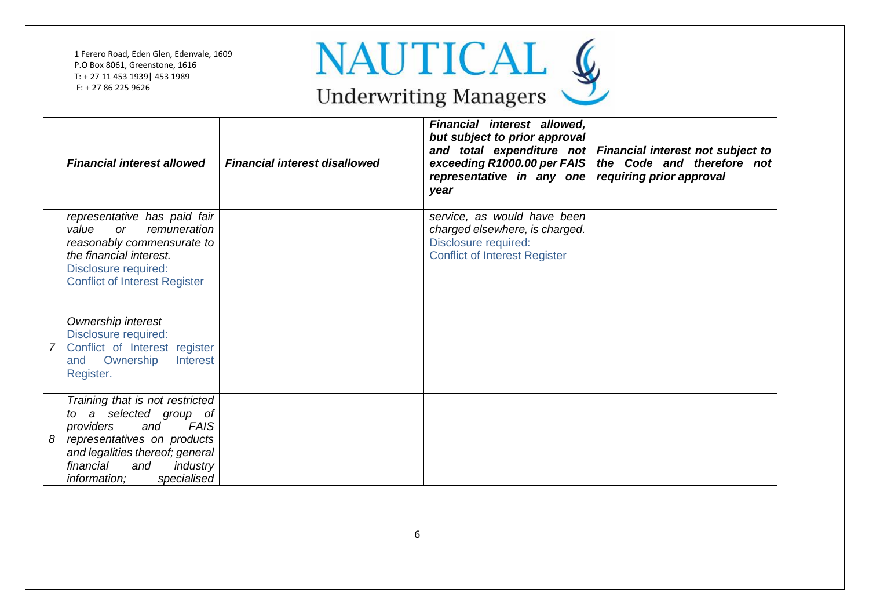

|   | <b>Financial interest allowed</b>                                                                                                                                                                                                          | <b>Financial interest disallowed</b> | Financial interest allowed,<br>but subject to prior approval<br>exceeding R1000.00 per FAIS<br>representative in any one requiring prior approval<br>year | and total expenditure not Financial interest not subject to<br>the Code and therefore not |
|---|--------------------------------------------------------------------------------------------------------------------------------------------------------------------------------------------------------------------------------------------|--------------------------------------|-----------------------------------------------------------------------------------------------------------------------------------------------------------|-------------------------------------------------------------------------------------------|
|   | representative has paid fair<br>value<br>remuneration<br><b>or</b><br>reasonably commensurate to<br>the financial interest.<br>Disclosure required:<br><b>Conflict of Interest Register</b>                                                |                                      | service, as would have been<br>charged elsewhere, is charged.<br>Disclosure required:<br><b>Conflict of Interest Register</b>                             |                                                                                           |
|   | Ownership interest<br>Disclosure required:<br>Conflict of Interest register<br>Ownership<br>Interest<br>and<br>Register.                                                                                                                   |                                      |                                                                                                                                                           |                                                                                           |
| 8 | Training that is not restricted<br>selected group of<br>a<br>tO<br><b>FAIS</b><br>providers<br>and<br>representatives on products<br>and legalities thereof; general<br>financial<br>and<br>industry<br>specialised<br><i>information:</i> |                                      |                                                                                                                                                           |                                                                                           |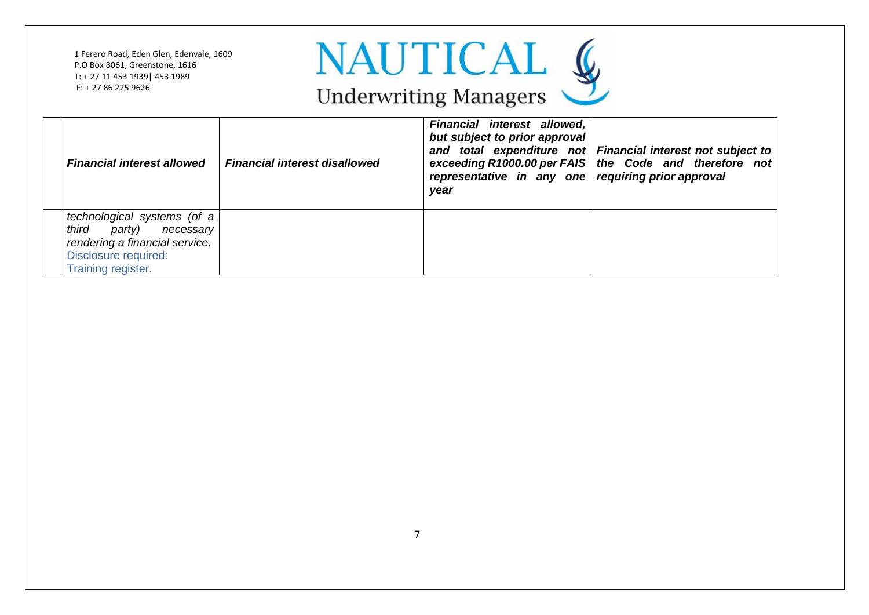

| <b>Financial interest allowed</b>                                                                                                        | <b>Financial interest disallowed</b> | Financial interest allowed,<br>but subject to prior approval<br>representative in any one requiring prior approval<br>year | and total expenditure not Financial interest not subject to<br>exceeding R1000.00 per FAIS   the Code and therefore not |
|------------------------------------------------------------------------------------------------------------------------------------------|--------------------------------------|----------------------------------------------------------------------------------------------------------------------------|-------------------------------------------------------------------------------------------------------------------------|
| technological systems (of a<br>third<br>party) necessary<br>rendering a financial service.<br>Disclosure required:<br>Training register. |                                      |                                                                                                                            |                                                                                                                         |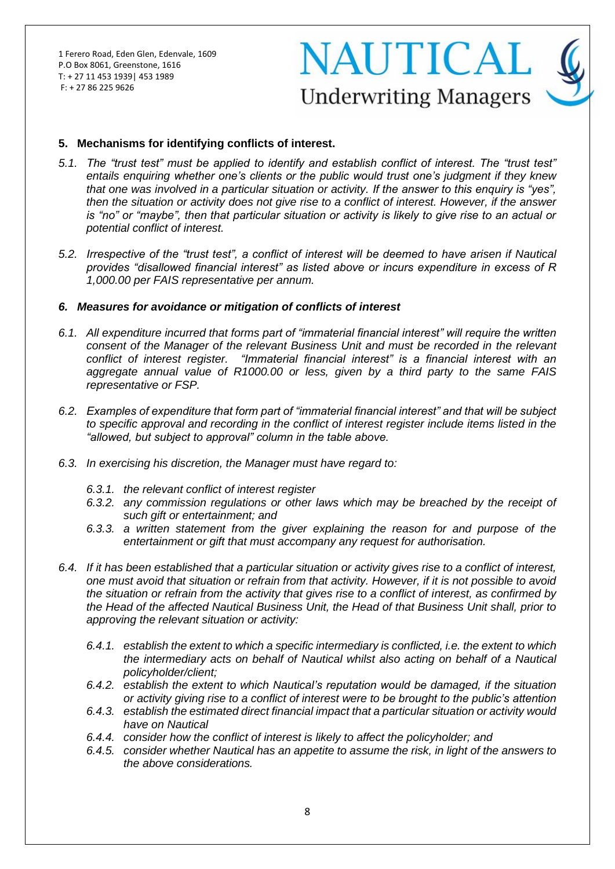## **NAUTICAL Underwriting Managers**

#### **5. Mechanisms for identifying conflicts of interest.**

- *5.1. The "trust test" must be applied to identify and establish conflict of interest. The "trust test" entails enquiring whether one's clients or the public would trust one's judgment if they knew that one was involved in a particular situation or activity. If the answer to this enquiry is "yes", then the situation or activity does not give rise to a conflict of interest. However, if the answer is "no" or "maybe", then that particular situation or activity is likely to give rise to an actual or potential conflict of interest.*
- *5.2. Irrespective of the "trust test", a conflict of interest will be deemed to have arisen if Nautical provides "disallowed financial interest" as listed above or incurs expenditure in excess of R 1,000.00 per FAIS representative per annum.*

#### *6. Measures for avoidance or mitigation of conflicts of interest*

- *6.1. All expenditure incurred that forms part of "immaterial financial interest" will require the written consent of the Manager of the relevant Business Unit and must be recorded in the relevant conflict of interest register. "Immaterial financial interest" is a financial interest with an aggregate annual value of R1000.00 or less, given by a third party to the same FAIS representative or FSP.*
- *6.2. Examples of expenditure that form part of "immaterial financial interest" and that will be subject to specific approval and recording in the conflict of interest register include items listed in the "allowed, but subject to approval" column in the table above.*
- *6.3. In exercising his discretion, the Manager must have regard to:*
	- *6.3.1. the relevant conflict of interest register*
	- *6.3.2. any commission regulations or other laws which may be breached by the receipt of such gift or entertainment; and*
	- *6.3.3. a written statement from the giver explaining the reason for and purpose of the entertainment or gift that must accompany any request for authorisation.*
- *6.4. If it has been established that a particular situation or activity gives rise to a conflict of interest, one must avoid that situation or refrain from that activity. However, if it is not possible to avoid the situation or refrain from the activity that gives rise to a conflict of interest, as confirmed by the Head of the affected Nautical Business Unit, the Head of that Business Unit shall, prior to approving the relevant situation or activity:*
	- *6.4.1. establish the extent to which a specific intermediary is conflicted, i.e. the extent to which the intermediary acts on behalf of Nautical whilst also acting on behalf of a Nautical policyholder/client;*
	- *6.4.2. establish the extent to which Nautical's reputation would be damaged, if the situation or activity giving rise to a conflict of interest were to be brought to the public's attention*
	- *6.4.3. establish the estimated direct financial impact that a particular situation or activity would have on Nautical*
	- *6.4.4. consider how the conflict of interest is likely to affect the policyholder; and*
	- *6.4.5. consider whether Nautical has an appetite to assume the risk, in light of the answers to the above considerations.*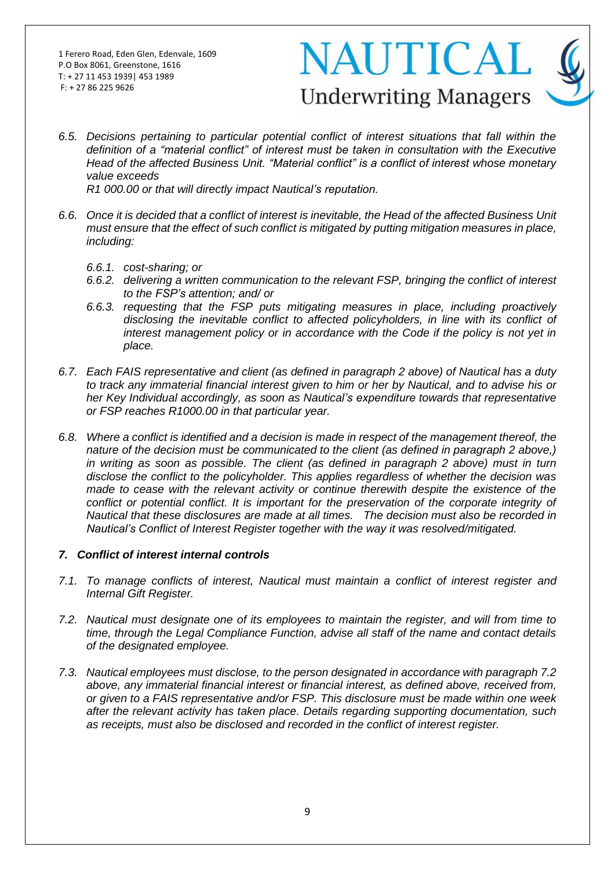# NAUTICAL **Underwriting Managers**

*6.5. Decisions pertaining to particular potential conflict of interest situations that fall within the definition of a "material conflict" of interest must be taken in consultation with the Executive Head of the affected Business Unit. "Material conflict" is a conflict of interest whose monetary value exceeds*

*R1 000.00 or that will directly impact Nautical's reputation.*

- *6.6. Once it is decided that a conflict of interest is inevitable, the Head of the affected Business Unit must ensure that the effect of such conflict is mitigated by putting mitigation measures in place, including:*
	- *6.6.1. cost-sharing; or*
	- *6.6.2. delivering a written communication to the relevant FSP, bringing the conflict of interest to the FSP's attention; and/ or*
	- *6.6.3. requesting that the FSP puts mitigating measures in place, including proactively disclosing the inevitable conflict to affected policyholders, in line with its conflict of interest management policy or in accordance with the Code if the policy is not yet in place.*
- *6.7. Each FAIS representative and client (as defined in paragraph 2 above) of Nautical has a duty to track any immaterial financial interest given to him or her by Nautical, and to advise his or her Key Individual accordingly, as soon as Nautical's expenditure towards that representative or FSP reaches R1000.00 in that particular year.*
- *6.8. Where a conflict is identified and a decision is made in respect of the management thereof, the nature of the decision must be communicated to the client (as defined in paragraph 2 above,) in writing as soon as possible. The client (as defined in paragraph 2 above) must in turn disclose the conflict to the policyholder. This applies regardless of whether the decision was made to cease with the relevant activity or continue therewith despite the existence of the*  conflict or potential conflict. It is important for the preservation of the corporate integrity of *Nautical that these disclosures are made at all times. The decision must also be recorded in Nautical's Conflict of Interest Register together with the way it was resolved/mitigated.*

#### *7. Conflict of interest internal controls*

- *7.1. To manage conflicts of interest, Nautical must maintain a conflict of interest register and Internal Gift Register.*
- *7.2. Nautical must designate one of its employees to maintain the register, and will from time to time, through the Legal Compliance Function, advise all staff of the name and contact details of the designated employee.*
- *7.3. Nautical employees must disclose, to the person designated in accordance with paragraph 7.2 above, any immaterial financial interest or financial interest, as defined above, received from, or given to a FAIS representative and/or FSP. This disclosure must be made within one week after the relevant activity has taken place. Details regarding supporting documentation, such as receipts, must also be disclosed and recorded in the conflict of interest register.*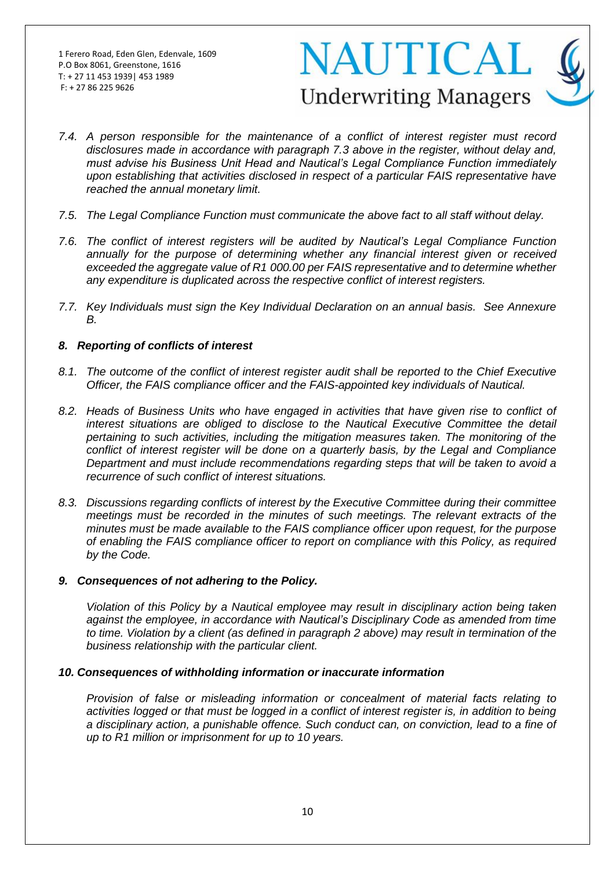# **NAUTICAL Underwriting Managers**

- *7.4. A person responsible for the maintenance of a conflict of interest register must record disclosures made in accordance with paragraph 7.3 above in the register, without delay and, must advise his Business Unit Head and Nautical's Legal Compliance Function immediately upon establishing that activities disclosed in respect of a particular FAIS representative have reached the annual monetary limit.*
- *7.5. The Legal Compliance Function must communicate the above fact to all staff without delay.*
- *7.6. The conflict of interest registers will be audited by Nautical's Legal Compliance Function annually for the purpose of determining whether any financial interest given or received exceeded the aggregate value of R1 000.00 per FAIS representative and to determine whether any expenditure is duplicated across the respective conflict of interest registers.*
- *7.7. Key Individuals must sign the Key Individual Declaration on an annual basis. See Annexure B.*

#### *8. Reporting of conflicts of interest*

- *8.1. The outcome of the conflict of interest register audit shall be reported to the Chief Executive Officer, the FAIS compliance officer and the FAIS-appointed key individuals of Nautical.*
- *8.2. Heads of Business Units who have engaged in activities that have given rise to conflict of interest situations are obliged to disclose to the Nautical Executive Committee the detail pertaining to such activities, including the mitigation measures taken. The monitoring of the conflict of interest register will be done on a quarterly basis, by the Legal and Compliance Department and must include recommendations regarding steps that will be taken to avoid a recurrence of such conflict of interest situations.*
- *8.3. Discussions regarding conflicts of interest by the Executive Committee during their committee meetings must be recorded in the minutes of such meetings. The relevant extracts of the minutes must be made available to the FAIS compliance officer upon request, for the purpose of enabling the FAIS compliance officer to report on compliance with this Policy, as required by the Code.*

#### *9. Consequences of not adhering to the Policy.*

*Violation of this Policy by a Nautical employee may result in disciplinary action being taken against the employee, in accordance with Nautical's Disciplinary Code as amended from time to time. Violation by a client (as defined in paragraph 2 above) may result in termination of the business relationship with the particular client.* 

#### *10. Consequences of withholding information or inaccurate information*

*Provision of false or misleading information or concealment of material facts relating to activities logged or that must be logged in a conflict of interest register is, in addition to being a disciplinary action, a punishable offence. Such conduct can, on conviction, lead to a fine of up to R1 million or imprisonment for up to 10 years.*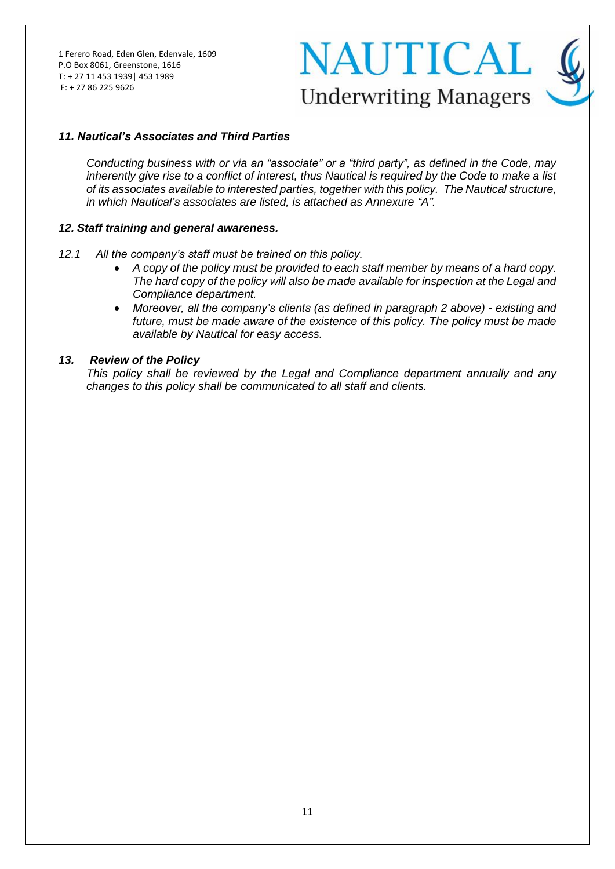## **NAUTICAL Underwriting Managers**

#### *11. Nautical's Associates and Third Parties*

*Conducting business with or via an "associate" or a "third party", as defined in the Code, may inherently give rise to a conflict of interest, thus Nautical is required by the Code to make a list of its associates available to interested parties, together with this policy. The Nautical structure, in which Nautical's associates are listed, is attached as Annexure "A".*

#### *12. Staff training and general awareness.*

- *12.1 All the company's staff must be trained on this policy.* 
	- *A copy of the policy must be provided to each staff member by means of a hard copy. The hard copy of the policy will also be made available for inspection at the Legal and Compliance department.*
	- *Moreover, all the company's clients (as defined in paragraph 2 above) - existing and future, must be made aware of the existence of this policy. The policy must be made available by Nautical for easy access.*

#### *13. Review of the Policy*

*This policy shall be reviewed by the Legal and Compliance department annually and any changes to this policy shall be communicated to all staff and clients.*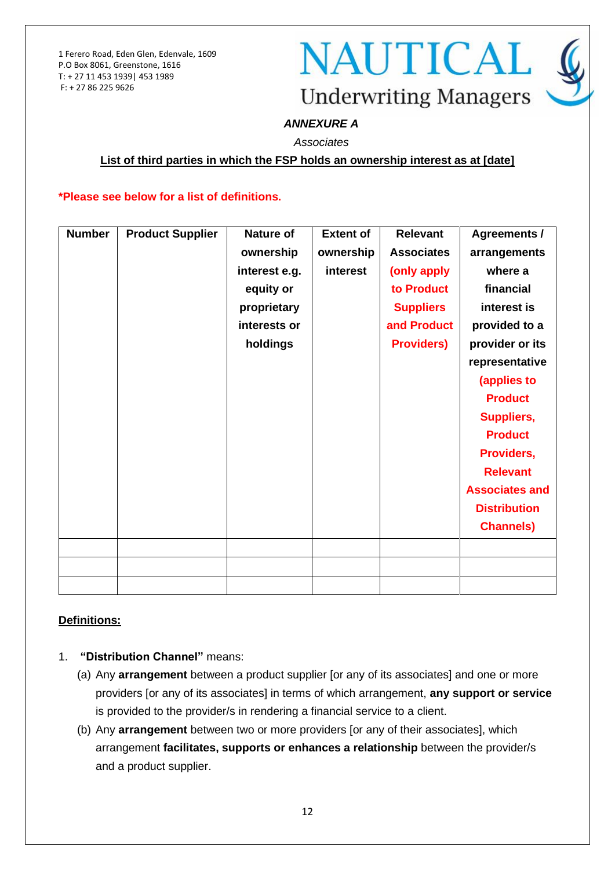## **NAUTICAL Underwriting Managers**

### *ANNEXURE A*

*Associates*

#### **List of third parties in which the FSP holds an ownership interest as at [date]**

#### **\*Please see below for a list of definitions.**

| <b>Number</b> | <b>Product Supplier</b> | <b>Nature of</b> | <b>Extent of</b> | <b>Relevant</b>   | <b>Agreements /</b>   |
|---------------|-------------------------|------------------|------------------|-------------------|-----------------------|
|               |                         | ownership        | ownership        | <b>Associates</b> | arrangements          |
|               |                         | interest e.g.    | interest         | (only apply       | where a               |
|               |                         | equity or        |                  | to Product        | financial             |
|               |                         | proprietary      |                  | <b>Suppliers</b>  | interest is           |
|               |                         | interests or     |                  | and Product       | provided to a         |
|               |                         | holdings         |                  | <b>Providers)</b> | provider or its       |
|               |                         |                  |                  |                   | representative        |
|               |                         |                  |                  |                   | (applies to           |
|               |                         |                  |                  |                   | <b>Product</b>        |
|               |                         |                  |                  |                   | <b>Suppliers,</b>     |
|               |                         |                  |                  |                   | <b>Product</b>        |
|               |                         |                  |                  |                   | Providers,            |
|               |                         |                  |                  |                   | <b>Relevant</b>       |
|               |                         |                  |                  |                   | <b>Associates and</b> |
|               |                         |                  |                  |                   | <b>Distribution</b>   |
|               |                         |                  |                  |                   | <b>Channels</b> )     |
|               |                         |                  |                  |                   |                       |
|               |                         |                  |                  |                   |                       |
|               |                         |                  |                  |                   |                       |
|               |                         |                  |                  |                   |                       |

### **Definitions:**

- 1. **"Distribution Channel"** means:
	- (a) Any **arrangement** between a product supplier [or any of its associates] and one or more providers [or any of its associates] in terms of which arrangement, **any support or service** is provided to the provider/s in rendering a financial service to a client.
	- (b) Any **arrangement** between two or more providers [or any of their associates], which arrangement **facilitates, supports or enhances a relationship** between the provider/s and a product supplier.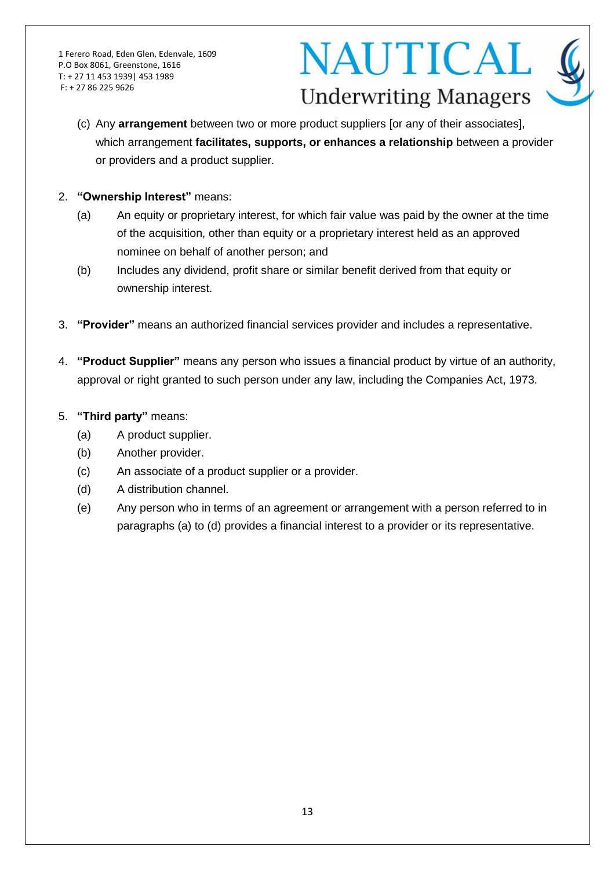## **NAUTICAL Underwriting Managers**

- (c) Any **arrangement** between two or more product suppliers [or any of their associates], which arrangement **facilitates, supports, or enhances a relationship** between a provider or providers and a product supplier.
- 2. **"Ownership Interest"** means:
	- (a) An equity or proprietary interest, for which fair value was paid by the owner at the time of the acquisition, other than equity or a proprietary interest held as an approved nominee on behalf of another person; and
	- (b) Includes any dividend, profit share or similar benefit derived from that equity or ownership interest.
- 3. **"Provider"** means an authorized financial services provider and includes a representative.
- 4. **"Product Supplier"** means any person who issues a financial product by virtue of an authority, approval or right granted to such person under any law, including the Companies Act, 1973.
- 5. **"Third party"** means:
	- (a) A product supplier.
	- (b) Another provider.
	- (c) An associate of a product supplier or a provider.
	- (d) A distribution channel.
	- (e) Any person who in terms of an agreement or arrangement with a person referred to in paragraphs (a) to (d) provides a financial interest to a provider or its representative.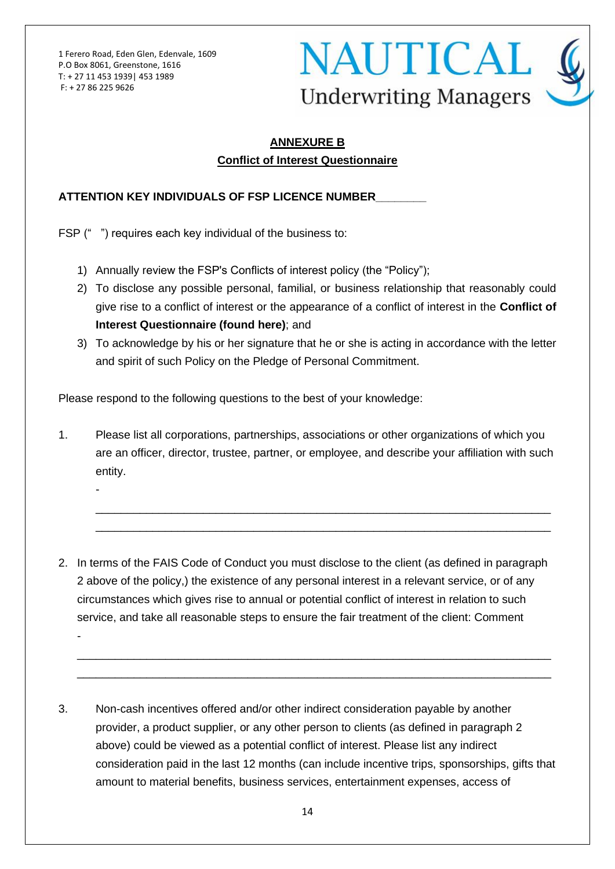-

-



## **ANNEXURE B Conflict of Interest Questionnaire**

### **ATTENTION KEY INDIVIDUALS OF FSP LICENCE NUMBER\_\_\_\_\_\_\_\_**

FSP (" ") requires each key individual of the business to:

- 1) Annually review the FSP's Conflicts of interest policy (the "Policy");
- 2) To disclose any possible personal, familial, or business relationship that reasonably could give rise to a conflict of interest or the appearance of a conflict of interest in the **Conflict of Interest Questionnaire (found here)**; and
- 3) To acknowledge by his or her signature that he or she is acting in accordance with the letter and spirit of such Policy on the Pledge of Personal Commitment.

Please respond to the following questions to the best of your knowledge:

1. Please list all corporations, partnerships, associations or other organizations of which you are an officer, director, trustee, partner, or employee, and describe your affiliation with such entity.

\_\_\_\_\_\_\_\_\_\_\_\_\_\_\_\_\_\_\_\_\_\_\_\_\_\_\_\_\_\_\_\_\_\_\_\_\_\_\_\_\_\_\_\_\_\_\_\_\_\_\_\_\_\_\_\_\_\_\_\_\_\_\_\_\_\_\_\_\_\_\_\_ \_\_\_\_\_\_\_\_\_\_\_\_\_\_\_\_\_\_\_\_\_\_\_\_\_\_\_\_\_\_\_\_\_\_\_\_\_\_\_\_\_\_\_\_\_\_\_\_\_\_\_\_\_\_\_\_\_\_\_\_\_\_\_\_\_\_\_\_\_\_\_\_

2. In terms of the FAIS Code of Conduct you must disclose to the client (as defined in paragraph 2 above of the policy,) the existence of any personal interest in a relevant service, or of any circumstances which gives rise to annual or potential conflict of interest in relation to such service, and take all reasonable steps to ensure the fair treatment of the client: Comment

\_\_\_\_\_\_\_\_\_\_\_\_\_\_\_\_\_\_\_\_\_\_\_\_\_\_\_\_\_\_\_\_\_\_\_\_\_\_\_\_\_\_\_\_\_\_\_\_\_\_\_\_\_\_\_\_\_\_\_\_\_\_\_\_\_\_\_\_\_\_\_\_\_\_\_ \_\_\_\_\_\_\_\_\_\_\_\_\_\_\_\_\_\_\_\_\_\_\_\_\_\_\_\_\_\_\_\_\_\_\_\_\_\_\_\_\_\_\_\_\_\_\_\_\_\_\_\_\_\_\_\_\_\_\_\_\_\_\_\_\_\_\_\_\_\_\_\_\_\_\_

3. Non-cash incentives offered and/or other indirect consideration payable by another provider, a product supplier, or any other person to clients (as defined in paragraph 2 above) could be viewed as a potential conflict of interest. Please list any indirect consideration paid in the last 12 months (can include incentive trips, sponsorships, gifts that amount to material benefits, business services, entertainment expenses, access of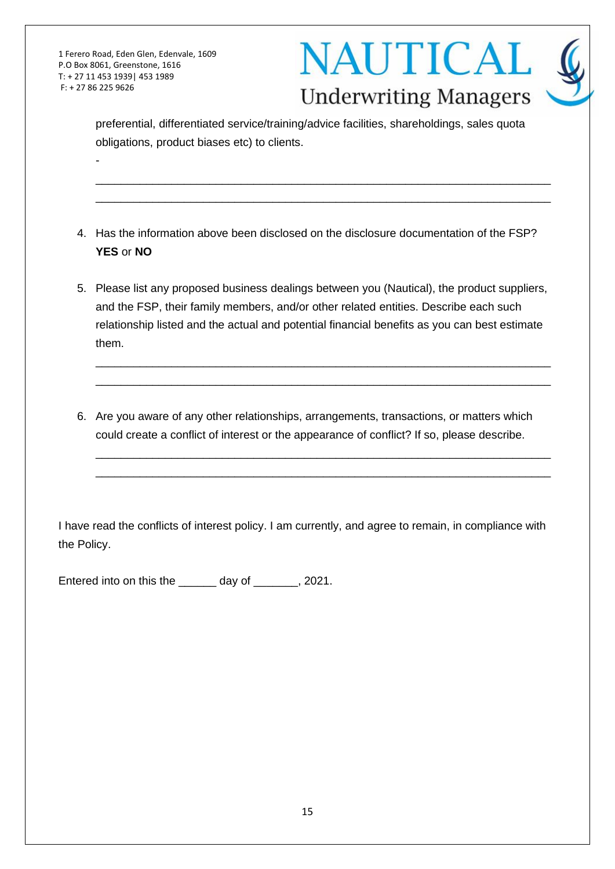-



preferential, differentiated service/training/advice facilities, shareholdings, sales quota obligations, product biases etc) to clients.

\_\_\_\_\_\_\_\_\_\_\_\_\_\_\_\_\_\_\_\_\_\_\_\_\_\_\_\_\_\_\_\_\_\_\_\_\_\_\_\_\_\_\_\_\_\_\_\_\_\_\_\_\_\_\_\_\_\_\_\_\_\_\_\_\_\_\_\_\_\_\_\_ \_\_\_\_\_\_\_\_\_\_\_\_\_\_\_\_\_\_\_\_\_\_\_\_\_\_\_\_\_\_\_\_\_\_\_\_\_\_\_\_\_\_\_\_\_\_\_\_\_\_\_\_\_\_\_\_\_\_\_\_\_\_\_\_\_\_\_\_\_\_\_\_

- 4. Has the information above been disclosed on the disclosure documentation of the FSP? **YES** or **NO**
- 5. Please list any proposed business dealings between you (Nautical), the product suppliers, and the FSP, their family members, and/or other related entities. Describe each such relationship listed and the actual and potential financial benefits as you can best estimate them.

\_\_\_\_\_\_\_\_\_\_\_\_\_\_\_\_\_\_\_\_\_\_\_\_\_\_\_\_\_\_\_\_\_\_\_\_\_\_\_\_\_\_\_\_\_\_\_\_\_\_\_\_\_\_\_\_\_\_\_\_\_\_\_\_\_\_\_\_\_\_\_\_ \_\_\_\_\_\_\_\_\_\_\_\_\_\_\_\_\_\_\_\_\_\_\_\_\_\_\_\_\_\_\_\_\_\_\_\_\_\_\_\_\_\_\_\_\_\_\_\_\_\_\_\_\_\_\_\_\_\_\_\_\_\_\_\_\_\_\_\_\_\_\_\_

\_\_\_\_\_\_\_\_\_\_\_\_\_\_\_\_\_\_\_\_\_\_\_\_\_\_\_\_\_\_\_\_\_\_\_\_\_\_\_\_\_\_\_\_\_\_\_\_\_\_\_\_\_\_\_\_\_\_\_\_\_\_\_\_\_\_\_\_\_\_\_\_ \_\_\_\_\_\_\_\_\_\_\_\_\_\_\_\_\_\_\_\_\_\_\_\_\_\_\_\_\_\_\_\_\_\_\_\_\_\_\_\_\_\_\_\_\_\_\_\_\_\_\_\_\_\_\_\_\_\_\_\_\_\_\_\_\_\_\_\_\_\_\_\_

6. Are you aware of any other relationships, arrangements, transactions, or matters which could create a conflict of interest or the appearance of conflict? If so, please describe.

I have read the conflicts of interest policy. I am currently, and agree to remain, in compliance with the Policy.

Entered into on this the \_\_\_\_\_\_ day of \_\_\_\_\_\_\_, 2021.